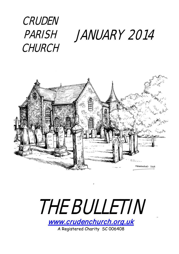





A Registered Charity SC 006408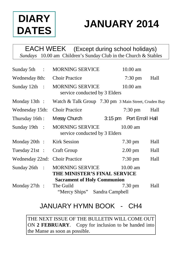# **DIARY DATES**

# **JANUARY 2014**

EACH WEEK (Except during school holidays) *Sundays* 10.00 am Children's Sunday Club in the Church & Stables

| Sunday 5th $\therefore$            | <b>MORNING SERVICE</b>                                  |  | $10.00$ am               |      |  |  |
|------------------------------------|---------------------------------------------------------|--|--------------------------|------|--|--|
| Wednesday 8th:                     | <b>Choir Practice</b>                                   |  | $7:30 \text{ pm}$        | Hall |  |  |
| Sunday $12th$ :                    | <b>MORNING SERVICE</b><br>service conducted by 3 Elders |  | 10.00 am                 |      |  |  |
| Monday $13th$ :                    | Watch & Talk Group 7.30 pm 3 Main Street, Cruden Bay    |  |                          |      |  |  |
| Wednesday 15th:                    | <b>Choir Practice</b>                                   |  | $7:30 \text{ pm}$        | Hall |  |  |
| Thursday 16th:                     | Messy Church                                            |  | 3:15 pm Port Erroll Hall |      |  |  |
| Sunday 19th :                      | <b>MORNING SERVICE</b><br>service conducted by 3 Elders |  | $10.00$ am               |      |  |  |
| Monday 20th :                      | <b>Kirk Session</b>                                     |  | $7.30 \text{ pm}$        | Hall |  |  |
| Tuesday 21st :                     | <b>Craft Group</b>                                      |  | $2.00 \text{ pm}$        | Hall |  |  |
| Wednesday 22nd:                    | <b>Choir Practice</b>                                   |  | $7:30 \text{ pm}$        | Hall |  |  |
| Sunday 26th :                      | <b>MORNING SERVICE</b><br>THE MINISTER'S FINAL SERVICE  |  | $10.00$ am               |      |  |  |
| <b>Sacrament of Holy Communion</b> |                                                         |  |                          |      |  |  |
| Monday $27th$ :                    | The Guild                                               |  | $7.30 \text{ pm}$        | Hall |  |  |
|                                    | "Mercy Ships"<br>Sandra Campbell                        |  |                          |      |  |  |

#### JANUARY HYMN BOOK - CH4

THE NEXT ISSUE OF THE BULLETIN WILL COME OUT ON **2 FEBRUARY**. Copy for inclusion to be handed into the Manse as soon as possible.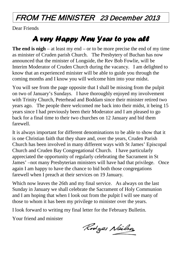### FROM THE MINISTER 23 December 2013

Dear Friends

### *A very Happy New Year to you all*

**The end is nigh** – at least my end – or to be more precise the end of my time as minister of Cruden parish Church. The Presbytery of Buchan has now announced that the minister of Longside, the Rev Bob Fowlie, will be Interim Moderator of Cruden Church during the vacancy. I am delighted to know that an experienced minister will be able to guide you through the coming months and I know you will welcome him into your midst.

You will see from the page opposite that I shall be missing from the pulpit on two of January's Sundays. I have thoroughly enjoyed my involvement with Trinity Church, Peterhead and Boddam since their minister retired two years ago. The people there welcomed me back into their midst, it being 15 years since I had previously been their Moderator and I am pleased to go back for a final time to their two churches on 12 January and bid them farewell.

It is always important for different denominations to be able to show that it is one Christian faith that they share and, over the years, Cruden Parish Church has been involved in many different ways with St James' Episcopal Church and Cruden Bay Congregational Church. I have particularly appreciated the opportunity of regularly celebrating the Sacrament in St James' –not many Presbyterian ministers will have had that privilege. Once again I am happy to have the chance to bid both those congregations farewell when I preach at their services on 19 January.

Which now leaves the 26th and my final service. As always on the last Sunday in January we shall celebrate the Sacrament of Holy Communion and I am hoping that when I look out from the pulpit I will see many of those to whom it has been my privilege to minister over the years.

I look forward to writing my final letter for the February Bulletin.

Your friend and minister

Rodges Neilso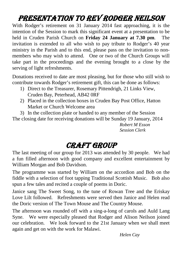### Presentation to Rev Rodger Neilson

With Rodger's retirement on 31 January 2014 fast approaching, it is the intention of the Session to mark this significant event at a presentation to be held in Cruden Parish Church on **Friday 24 January at 7.30 pm**. The invitation is extended to all who wish to pay tribute to Rodger's 40 year ministry in the Parish and to this end, please pass on the invitation to nonmembers who may wish to attend. One or two of the Church Groups will take part in the proceedings and the evening brought to a close by the serving of light refreshments.

Donations received to date are most pleasing, but for those who still wish to contribute towards Rodger's retirement gift, this can be done as follows:

- 1) Direct to the Treasurer, Rosemary Pittendrigh, 21 Links View, Cruden Bay, Peterhead, AB42 0RF
- 2) Placed in the collection boxes in Cruden Bay Post Office, Hatton Market or Church Welcome area

3) In the collection plate or handed to any member of the Session

The closing date for receiving donations will be Sunday 19 January, 2014 *Robert M Esson*

*Session Clerk*

### CRAFT GROUP

The last meeting of our group for 2013 was attended by 30 people. We had a fun filled afternoon with good company and excellent entertainment by William Morgan and Bob Davidson.

The programme was started by William on the accordion and Bob on the fiddle with a selection of foot tapping Traditional Scottish Music. Bob also spun a few tales and recited a couple of poems in Doric.

Janice sang The Sweet Song, to the tune of Rowan Tree and the Eriskay Love Lilt followed. Refreshments were served then Janice and Helen read the Doric version of The Town Mouse and The Country Mouse.

The afternoon was rounded off with a sing-a-long of carols and Auld Lang Syne. We were especially pleased that Rodger and Alison Neilson joined our celebration. We look forward to the 21st January when we shall meet again and get on with the work for Malawi.

*Helen Cay*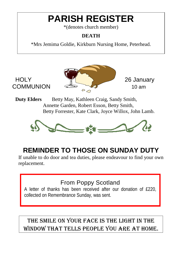# **PARISH REGISTER**

\*(denotes church member)

#### **DEATH**

\*Mrs Jemima Goldie, Kirkburn Nursing Home, Peterhead.



**Duty Elders** Betty May, Kathleen Craig, Sandy Smith, Annette Garden, Robert Esson, Betty Smith, Betty Forrester, Kate Clark, Joyce Willox, John Lamb.



### **REMINDER TO THOSE ON SUNDAY DUTY**

If unable to do door and tea duties, please endeavour to find your own replacement.

#### From Poppy Scotland

A letter of thanks has been received after our donation of £220, collected on Remembrance Sunday, was sent.

#### The smile on your face is the light in the window that tells people you are at home.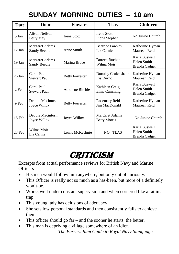#### **SUNDAY MORNING DUTIES – 10 am**

| Date     | Door                                  | <b>Flowers</b>         | <b>Teas</b>                                  | <b>Children</b>                               |
|----------|---------------------------------------|------------------------|----------------------------------------------|-----------------------------------------------|
| 5 Jan    | Alison Neilson<br><b>Betty May</b>    | <b>Irene Stott</b>     | <b>Irene Stott</b><br>Fiona Stephen          | No Junior Church                              |
| $12$ Jan | <b>Margaret Adams</b><br>Sandy Beedie | Anne Smith             | <b>Beatrice Fawkes</b><br>Liz Carnie         | Katherine Hyman<br>Maureen Reid               |
| 19 Jan   | <b>Margaret Adams</b><br>Sandy Beedie | Marina Bruce           | Doreen Buchan<br>Wilma Moir                  | Karla Buswell<br>Helen Smith<br>Brenda Cadger |
| $26$ Jan | Carol Paul<br><b>Stewart Paul</b>     | <b>Betty Forrester</b> | Dorothy Cruickshank<br>Iris Durno            | Katherine Hyman<br>Maureen Reid               |
| 2 Feb    | Carol Paul<br><b>Stewart Paul</b>     | Atholene Ritchie       | Kathleen Craig<br>Elma Cumming               | Karla Buswell<br>Helen Smith<br>Brenda Cadger |
| 9 Feb    | Debbie Macintosh<br>Joyce Willox      | <b>Betty Forrester</b> | Rosemary Reid<br>Jim MacDonald               | Katherine Hyman<br>Maureen Reid               |
| 16 Feb   | Debbie Macintosh<br>Joyce Willox      | Joyce Willox           | <b>Margaret Adams</b><br><b>Betty Morris</b> | No Junior Church                              |
| 23 Feb   | Wilma Moir<br>Liz Carnie              | Lewis McKechnie        | <b>TEAS</b><br>NO.                           | Karla Buswell<br>Helen Smith<br>Brenda Cadger |

## CRITICISM

Excerpts from actual performance reviews for British Navy and Marine Officers

- His men would follow him anywhere, but only out of curiosity.
- This Officer is really not so much as a has-been, but more of a definitely won't-be.
- Works well under constant supervision and when cornered like a rat in a trap.
- This young lady has delusions of adequacy.
- She sets low personal standards and then consistently fails to achieve them.
- This officer should go far and the sooner he starts, the better.
- This man is depriving a village somewhere of an idiot.

*The Pursers Rum Guide to Royal Navy Slanguage*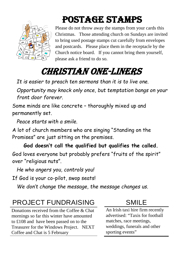

# POSTAGE STAMPS

Please do not throw away the stamps from your cards this Christmas. Those attending church on Sundays are invited to bring used postage stamps cut carefully from envelopes and postcards. Please place them in the receptacle by the Church notice board. If you cannot bring them yourself, please ask a friend to do so.

# CHRISTIAN ONE-LINERS

*It is easier to preach ten sermons than it is to live one.*

*Opportunity may knock only once, but temptation bangs on your front door forever.*

Some minds are like concrete – thoroughly mixed up and permanently set.

*Peace starts with a smile.*

A lot of church members who are singing "Standing on the Promises" are just sitting on the premises.

**God doesn't call the qualified but qualifies the called.** God loves everyone but probably prefers "fruits of the spirit" over "religious nuts".

*He who angers you, controls you!*

If God is your co-pilot, swop seats!

*We don't change the message, the message changes us.*

### PROJECT FUNDRAISING SMILE

Donations received from the Coffee & Chat mornings so far this winter have amounted to £108 and have been passed on to the Treasurer for the Windows Project. NEXT Coffee and Chat is 5 February

An Irish taxi hire firm recently advertised: "Taxis for football matches, race meetings, weddings, funerals and other sporting events"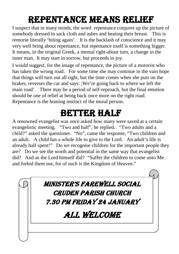# Repentance means relief

I suspect that in many minds, the word repentance conjures up the picture of somebody dressed in sack cloth and ashes and beating their breast. This is remorse literally 'biting again'. It is the backlash of conscience and it may very well bring about repentance, but repentance itself is something bigger. It means, in the original Greek, a mental right-about turn, a change in the inner man. It may start in sorrow, but proceeds in joy.

I would suggest, for the image of repentance, the picture of a motorist who has taken the wrong road. For some time she may continue in the vain hope that things will turn out all right, but the time comes when she puts on the brakes, reverses the car and says: ;We're going back to where we left the main road'. There may be a period of self-reproach, but the final emotion should be one of relief at being back once more on the right road. Repentance is the homing instinct of the moral person.

## BETTER HALF

A renowned evangelist was once asked how many were saved at a certain evangelistic meeting. "Two and half", he replied. "Two adults and a child?" asked the questioner. "No", came the response, "Two children and an adult. A child has a whole life to give to the Lord. An adult's life is already half spent!" Do we recognise children for the important people they are? Do we see the worth and potential in the same way that evangelist did? And as the Lord himself did? "Suffer the children to come unto Me and forbid them not, for of such is the Kingdom of Heaven."

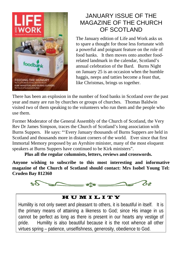

#### JANUARY ISSUE OF THE MAGAZINE OF THE CHURCH OF SCOTLAND

The January edition of Life and Work asks us to spare a thought for those less fortunate with a powerful and poignant feature on the role of food banks. It then moves onto another foodrelated landmark in the calendar, Scotland's annual celebration of the Bard. Burns Night on January 25 is an occasion when the humble haggis, neeps and tatties become a feast that, like Christmas, brings us together.

There has been an explosion in the number of food banks in Scotland over the past year and many are run by churches or groups of churches. Thomas Baldwin visited two of them speaking to the volunteers who run them and the people who use them.

Former Moderator of the General Assembly of the Church of Scotland, the Very Rev Dr James Simpson, traces the Church of Scotland's long association with Burns Suppers. He says: "'Every January thousands of Burns Suppers are held in Scotland and thousands more in distant corners of the world. Ever since that first Immortal Memory proposed by an Ayrshire minister, many of the most eloquent speakers at Burns Suppers have continued to be Kirk ministers".

**Plus all the regular columnists, letters, reviews and crosswords.**

**Anyone wishing to subscribe to this most interesting and informative magazine of the Church of Scotland should contact: Mrs Isobel Young Tel: Cruden Bay 812360**



#### H U M I L I T Y

Humility is not only sweet and pleasant to others, it is beautiful in itself. It is the primary means of attaining a likeness to God; since His image in us cannot be perfect as long as there is present in our hearts any vestige of pride. Humility is also beautiful because it is the root whence all other virtues spring – patience, unselfishness, generosity, obedience to God.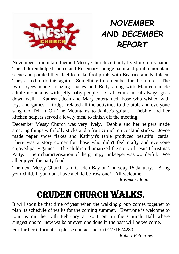

## *NOVEMBER AND DECEMBER REPORT*

November's mountain themed Messy Church certainly lived up to its name. The children helped Janice and Rosemary sponge paint and print a mountain scene and painted their feet to make foot prints with Beatrice and Kathleen. They asked to do this again. Something to remember for the future. The two Joyces made amazing snakes and Betty along with Maureen made edible mountains with jelly baby people. Craft you can eat always goes down well. Kathryn, Jean and Mary entertained those who wished with toys and games. Rodger related all the activities to the bible and everyone sang Go Tell It On The Mountains to Janice's guitar. Debbie and her kitchen helpers served a lovely meal to finish off the meeting.

December Messy Church was very lively. Debbie and her helpers made amazing things with lolly sticks and a fruit Grinch on cocktail sticks. Joyce made paper snow flakes and Kathryn's table produced beautiful cards. There was a story corner for those who didn't feel crafty and everyone enjoyed party games. The children dramatized the story of Jesus Christmas Party. Their characterisation of the grumpy innkeeper was wonderful. We all enjoyed the party food.

The next Messy Church is in Cruden Bay on Thursday 16 January. Bring your child. If you don't have a child borrow one! All welcome.

*Rosemary Reid*

# Cruden Church Walks.

It will soon be that time of year when the walking group comes together to plan its schedule of walks for the coming summer. Everyone is welcome to join us on the 13th February at 7:30 pm in the Church Hall where suggestions for new walks or even one done in the past will be welcome.

For further information please contact me on 01771624280.

*Robert Petticrew.*